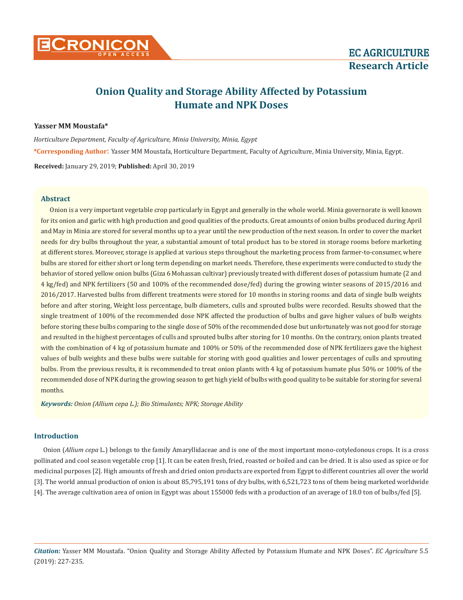# **Onion Quality and Storage Ability Affected by Potassium Humate and NPK Doses**

## **Yasser MM Moustafa\***

*Horticulture Department, Faculty of Agriculture, Minia University, Minia, Egypt* **\*Corresponding Author**: Yasser MM Moustafa, Horticulture Department, Faculty of Agriculture, Minia University, Minia, Egypt. **Received:** January 29, 2019; **Published:** April 30, 2019

#### **Abstract**

Onion is a very important vegetable crop particularly in Egypt and generally in the whole world. Minia governorate is well known for its onion and garlic with high production and good qualities of the products. Great amounts of onion bulbs produced during April and May in Minia are stored for several months up to a year until the new production of the next season. In order to cover the market needs for dry bulbs throughout the year, a substantial amount of total product has to be stored in storage rooms before marketing at different stores. Moreover, storage is applied at various steps throughout the marketing process from farmer-to-consumer, where bulbs are stored for either short or long term depending on market needs. Therefore, these experiments were conducted to study the behavior of stored yellow onion bulbs (Giza 6 Mohassan cultivar) previously treated with different doses of potassium humate (2 and 4 kg/fed) and NPK fertilizers (50 and 100% of the recommended dose/fed) during the growing winter seasons of 2015/2016 and 2016/2017. Harvested bulbs from different treatments were stored for 10 months in storing rooms and data of single bulb weights before and after storing, Weight loss percentage, bulb diameters, culls and sprouted bulbs were recorded. Results showed that the single treatment of 100% of the recommended dose NPK affected the production of bulbs and gave higher values of bulb weights before storing these bulbs comparing to the single dose of 50% of the recommended dose but unfortunately was not good for storage and resulted in the highest percentages of culls and sprouted bulbs after storing for 10 months. On the contrary, onion plants treated with the combination of 4 kg of potassium humate and 100% or 50% of the recommended dose of NPK fertilizers gave the highest values of bulb weights and these bulbs were suitable for storing with good qualities and lower percentages of culls and sprouting bulbs. From the previous results, it is recommended to treat onion plants with 4 kg of potassium humate plus 50% or 100% of the recommended dose of NPK during the growing season to get high yield of bulbs with good quality to be suitable for storing for several months.

*Keywords: Onion (Allium cepa L.); Bio Stimulants; NPK; Storage Ability*

## **Introduction**

Onion (*Allium cepa* L.) belongs to the family Amaryllidaceae and is one of the most important mono-cotyledonous crops. It is a cross pollinated and cool season vegetable crop [1]. It can be eaten fresh, fried, roasted or boiled and can be dried. It is also used as spice or for medicinal purposes [2]. High amounts of fresh and dried onion products are exported from Egypt to different countries all over the world [3]. The world annual production of onion is about 85,795,191 tons of dry bulbs, with 6,521,723 tons of them being marketed worldwide [4]. The average cultivation area of onion in Egypt was about 155000 feds with a production of an average of 18.0 ton of bulbs/fed [5].

*Citation:* Yasser MM Moustafa. "Onion Quality and Storage Ability Affected by Potassium Humate and NPK Doses". *EC Agriculture* 5.5 (2019): 227-235.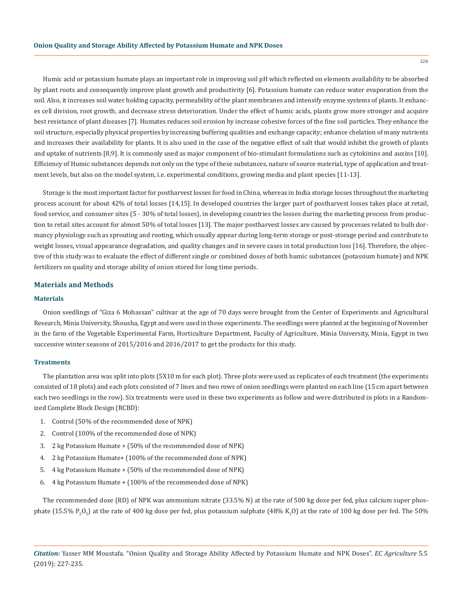Humic acid or potassium humate plays an important role in improving soil pH which reflected on elements availability to be absorbed by plant roots and consequently improve plant growth and productivity [6]. Potassium humate can reduce water evaporation from the soil. Also, it increases soil water holding capacity, permeability of the plant membranes and intensify enzyme systems of plants. It enhances cell division, root growth, and decrease stress deterioration. Under the effect of humic acids, plants grow more stronger and acquire best resistance of plant diseases [7]. Humates reduces soil erosion by increase cohesive forces of the fine soil particles. They enhance the soil structure, especially physical properties by increasing buffering qualities and exchange capacity; enhance chelation of many nutrients and increases their availability for plants. It is also used in the case of the negative effect of salt that would inhibit the growth of plants and uptake of nutrients [8,9]. It is commonly used as major component of bio-stimulant formulations such as cytokinins and auxins [10]. Efficiency of Humic substances depends not only on the type of these substances, nature of source material, type of application and treatment levels, but also on the model system, i.e. experimental conditions, growing media and plant species [11-13].

Storage is the most important factor for postharvest losses for food in China, whereas in India storage losses throughout the marketing process account for about 42% of total losses [14,15]. In developed countries the larger part of postharvest losses takes place at retail, food service, and consumer sites (5 - 30% of total losses), in developing countries the losses during the marketing process from production to retail sites account for almost 50% of total losses [13]. The major postharvest losses are caused by processes related to bulb dormancy physiology such as sprouting and rooting, which usually appear during long-term storage or post-storage period and contribute to weight losses, visual appearance degradation, and quality changes and in severe cases in total production loss [16]. Therefore, the objective of this study was to evaluate the effect of different single or combined doses of both humic substances (potassium humate) and NPK fertilizers on quality and storage ability of onion stored for long time periods.

#### **Materials and Methods**

#### **Materials**

Onion seedlings of "Giza 6 Mohassan" cultivar at the age of 70 days were brought from the Center of Experiments and Agricultural Research, Minia University, Shousha, Egypt and were used in these experiments. The seedlings were planted at the beginning of November in the farm of the Vegetable Experimental Farm, Horticulture Department, Faculty of Agriculture, Minia University, Minia, Egypt in two successive winter seasons of 2015/2016 and 2016/2017 to get the products for this study.

#### **Treatments**

The plantation area was split into plots (5X10 m for each plot). Three plots were used as replicates of each treatment (the experiments consisted of 18 plots) and each plots consisted of 7 lines and two rows of onion seedlings were planted on each line (15 cm apart between each two seedlings in the row). Six treatments were used in these two experiments as follow and were distributed in plots in a Randomized Complete Block Design (RCBD):

- 1. Control (50% of the recommended dose of NPK)
- 2. Control (100% of the recommended dose of NPK)
- 3. 2 kg Potassium Humate + (50% of the recommended dose of NPK)
- 4. 2 kg Potassium Humate+ (100% of the recommended dose of NPK)
- 5. 4 kg Potassium Humate + (50% of the recommended dose of NPK)
- 6. 4 kg Potassium Humate + (100% of the recommended dose of NPK)

The recommended dose (RD) of NPK was ammonium nitrate (33.5% N) at the rate of 500 kg dose per fed, plus calcium super phosphate (15.5%  $P_2O_5$ ) at the rate of 400 kg dose per fed, plus potassium sulphate (48% K<sub>2</sub>O) at the rate of 100 kg dose per fed. The 50%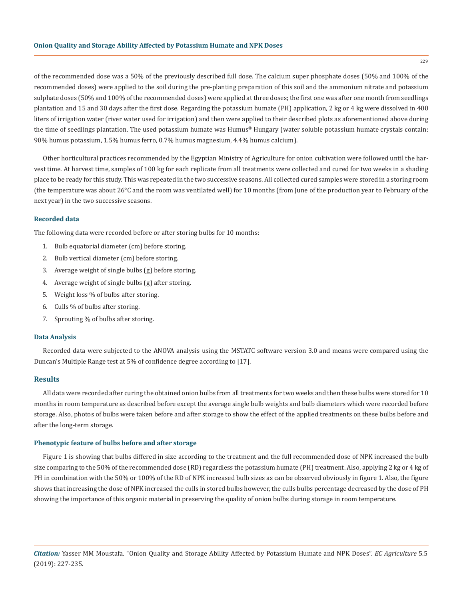of the recommended dose was a 50% of the previously described full dose. The calcium super phosphate doses (50% and 100% of the recommended doses) were applied to the soil during the pre-planting preparation of this soil and the ammonium nitrate and potassium sulphate doses (50% and 100% of the recommended doses) were applied at three doses; the first one was after one month from seedlings plantation and 15 and 30 days after the first dose. Regarding the potassium humate (PH) application, 2 kg or 4 kg were dissolved in 400 liters of irrigation water (river water used for irrigation) and then were applied to their described plots as aforementioned above during the time of seedlings plantation. The used potassium humate was Humus® Hungary (water soluble potassium humate crystals contain: 90% humus potassium, 1.5% humus ferro, 0.7% humus magnesium, 4.4% humus calcium).

Other horticultural practices recommended by the Egyptian Ministry of Agriculture for onion cultivation were followed until the harvest time. At harvest time, samples of 100 kg for each replicate from all treatments were collected and cured for two weeks in a shading place to be ready for this study. This was repeated in the two successive seasons. All collected cured samples were stored in a storing room (the temperature was about 26°C and the room was ventilated well) for 10 months (from June of the production year to February of the next year) in the two successive seasons.

## **Recorded data**

The following data were recorded before or after storing bulbs for 10 months:

- 1. Bulb equatorial diameter (cm) before storing.
- 2. Bulb vertical diameter (cm) before storing.
- 3. Average weight of single bulbs (g) before storing.
- 4. Average weight of single bulbs (g) after storing.
- 5. Weight loss % of bulbs after storing.
- 6. Culls % of bulbs after storing.
- 7. Sprouting % of bulbs after storing.

#### **Data Analysis**

Recorded data were subjected to the ANOVA analysis using the MSTATC software version 3.0 and means were compared using the Duncan's Multiple Range test at 5% of confidence degree according to [17].

## **Results**

All data were recorded after curing the obtained onion bulbs from all treatments for two weeks and then these bulbs were stored for 10 months in room temperature as described before except the average single bulb weights and bulb diameters which were recorded before storage. Also, photos of bulbs were taken before and after storage to show the effect of the applied treatments on these bulbs before and after the long-term storage.

#### **Phenotypic feature of bulbs before and after storage**

Figure 1 is showing that bulbs differed in size according to the treatment and the full recommended dose of NPK increased the bulb size comparing to the 50% of the recommended dose (RD) regardless the potassium humate (PH) treatment. Also, applying 2 kg or 4 kg of PH in combination with the 50% or 100% of the RD of NPK increased bulb sizes as can be observed obviously in figure 1. Also, the figure shows that increasing the dose of NPK increased the culls in stored bulbs however, the culls bulbs percentage decreased by the dose of PH showing the importance of this organic material in preserving the quality of onion bulbs during storage in room temperature.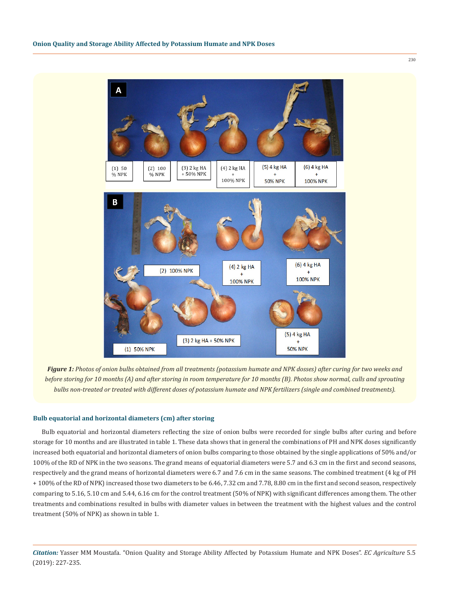230



*Figure 1: Photos of onion bulbs obtained from all treatments (potassium humate and NPK dosses) after curing for two weeks and before storing for 10 months (A) and after storing in room temperature for 10 months (B). Photos show normal, culls and sprouting bulbs non-treated or treated with different doses of potassium humate and NPK fertilizers (single and combined treatments).*

#### **Bulb equatorial and horizontal diameters (cm) after storing**

Bulb equatorial and horizontal diameters reflecting the size of onion bulbs were recorded for single bulbs after curing and before storage for 10 months and are illustrated in table 1. These data shows that in general the combinations of PH and NPK doses significantly increased both equatorial and horizontal diameters of onion bulbs comparing to those obtained by the single applications of 50% and/or 100% of the RD of NPK in the two seasons. The grand means of equatorial diameters were 5.7 and 6.3 cm in the first and second seasons, respectively and the grand means of horizontal diameters were 6.7 and 7.6 cm in the same seasons. The combined treatment (4 kg of PH + 100% of the RD of NPK) increased those two diameters to be 6.46, 7.32 cm and 7.78, 8.80 cm in the first and second season, respectively comparing to 5.16, 5.10 cm and 5.44, 6.16 cm for the control treatment (50% of NPK) with significant differences among them. The other treatments and combinations resulted in bulbs with diameter values in between the treatment with the highest values and the control treatment (50% of NPK) as shown in table 1.

*Citation:* Yasser MM Moustafa. "Onion Quality and Storage Ability Affected by Potassium Humate and NPK Doses". *EC Agriculture* 5.5 (2019): 227-235.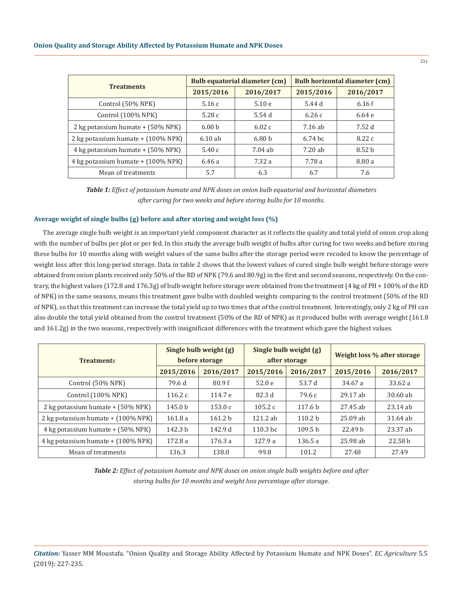|                                     |                   | <b>Bulb equatorial diameter (cm)</b> | Bulb horizontal diameter (cm) |                   |  |
|-------------------------------------|-------------------|--------------------------------------|-------------------------------|-------------------|--|
| <b>Treatments</b>                   | 2015/2016         | 2016/2017                            | 2015/2016                     | 2016/2017         |  |
| Control (50% NPK)                   | 5.16c             | 5.10e                                | 5.44 d                        | 6.16f             |  |
| Control (100% NPK)                  | 5.28c             | 5.54d                                | 6.26c                         | 6.64e             |  |
| 2 kg potassium humate $+$ (50% NPK) | 6.00 <sub>b</sub> | 6.02c                                | 7.16 ab                       | 7.52 d            |  |
| 2 kg potassium humate + (100% NPK)  | 6.10ab            | 6.80 <sub>b</sub>                    | $6.74~\mathrm{bc}$            | 8.22c             |  |
| 4 kg potassium humate + (50% NPK)   | 5.40c             | $7.04$ ab                            | 7.20 ab                       | 8.52 <sub>b</sub> |  |
| 4 kg potassium humate + (100% NPK)  | 6.46a             | 7.32 a                               | 7.78 a                        | 8.80 a            |  |
| Mean of treatments                  | 5.7               | 6.3                                  | 6.7                           | 7.6               |  |

*Table 1: Effect of potassium humate and NPK doses on onion bulb equatorial and horizontal diameters after curing for two weeks and before storing bulbs for 10 months.*

## **Average weight of single bulbs (g) before and after storing and weight loss (%)**

The average single bulb weight is an important yield component character as it reflects the quality and total yield of onion crop along with the number of bulbs per plot or per fed. In this study the average bulb weight of bulbs after curing for two weeks and before storing these bulbs for 10 months along with weight values of the same bulbs after the storage period were recoded to know the percentage of weight loss after this long-period storage. Data in table 2 shows that the lowest values of cured single bulb weight before storage were obtained from onion plants received only 50% of the RD of NPK (79.6 and 80.9g) in the first and second seasons, respectively. On the contrary, the highest values (172.8 and 176.3g) of bulb weight before storage were obtained from the treatment (4 kg of PH + 100% of the RD of NPK) in the same seasons, means this treatment gave bulbs with doubled weights comparing to the control treatment (50% of the RD of NPK), so that this treatment can increase the total yield up to two times that of the control treatment. Interestingly, only 2 kg of PH can also double the total yield obtained from the control treatment (50% of the RD of NPK) as it produced bulbs with average weight (161.8 and 161.2g) in the two seasons, respectively with insignificant differences with the treatment which gave the highest values.

| <b>Treatments</b>                  | Single bulb weight (g)<br>before storage |                    | Single bulb weight (g)<br>after storage |                    | Weight loss % after storage |                    |
|------------------------------------|------------------------------------------|--------------------|-----------------------------------------|--------------------|-----------------------------|--------------------|
|                                    | 2015/2016                                | 2016/2017          | 2015/2016                               | 2016/2017          | 2015/2016                   | 2016/2017          |
| Control (50% NPK)                  | 79.6 d                                   | 80.9f              | 52.0e                                   | 53.7 d             | 34.67 a                     | 33.62 a            |
| Control (100% NPK)                 | 116.2 $c$                                | 114.7 e            | 82.3 d                                  | 79.6 c             | 29.17 ab                    | 30.60 ab           |
| 2 kg potassium humate + (50% NPK)  | 145.0 <sub>b</sub>                       | 153.0c             | 105.2 $c$                               | 117.6 <sub>b</sub> | 27.45 ab                    | $23.14$ ab         |
| 2 kg potassium humate + (100% NPK) | 161.8a                                   | 161.2 <sub>b</sub> | 121.2 ab                                | 110.2 <sub>b</sub> | $25.09$ ab                  | 31.64 ab           |
| 4 kg potassium humate + (50% NPK)  | 142.3 b                                  | 142.9 d            | $110.3$ bc                              | 109.5 <sub>b</sub> | 22.49 <sub>b</sub>          | 23.37 ab           |
| 4 kg potassium humate + (100% NPK) | 172.8 a                                  | 176.3a             | 127.9a                                  | 136.5a             | 25.98 ab                    | 22.58 <sub>b</sub> |
| Mean of treatments                 | 136.3                                    | 138.0              | 99.8                                    | 101.2              | 27.48                       | 27.49              |

*Table 2: Effect of potassium humate and NPK doses on onion single bulb weights before and after storing bulbs for 10 months and weight loss percentage after storage.*

*Citation:* Yasser MM Moustafa. "Onion Quality and Storage Ability Affected by Potassium Humate and NPK Doses". *EC Agriculture* 5.5 (2019): 227-235.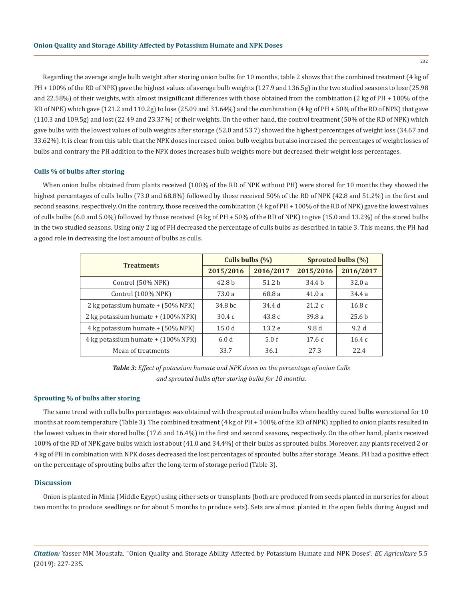Regarding the average single bulb weight after storing onion bulbs for 10 months, table 2 shows that the combined treatment (4 kg of PH + 100% of the RD of NPK) gave the highest values of average bulb weights (127.9 and 136.5g) in the two studied seasons to lose (25.98 and 22.58%) of their weights, with almost insignificant differences with those obtained from the combination (2 kg of PH + 100% of the RD of NPK) which gave (121.2 and 110.2g) to lose (25.09 and 31.64%) and the combination (4 kg of PH + 50% of the RD of NPK) that gave (110.3 and 109.5g) and lost (22.49 and 23.37%) of their weights. On the other hand, the control treatment (50% of the RD of NPK) which gave bulbs with the lowest values of bulb weights after storage (52.0 and 53.7) showed the highest percentages of weight loss (34.67 and 33.62%). It is clear from this table that the NPK doses increased onion bulb weights but also increased the percentages of weight losses of bulbs and contrary the PH addition to the NPK doses increases bulb weights more but decreased their weight loss percentages.

## **Culls % of bulbs after storing**

When onion bulbs obtained from plants received (100% of the RD of NPK without PH) were stored for 10 months they showed the highest percentages of culls bulbs (73.0 and 68.8%) followed by those received 50% of the RD of NPK (42.8 and 51.2%) in the first and second seasons, respectively. On the contrary, those received the combination (4 kg of PH + 100% of the RD of NPK) gave the lowest values of culls bulbs (6.0 and 5.0%) followed by those received (4 kg of PH + 50% of the RD of NPK) to give (15.0 and 13.2%) of the stored bulbs in the two studied seasons. Using only 2 kg of PH decreased the percentage of culls bulbs as described in table 3. This means, the PH had a good role in decreasing the lost amount of bulbs as culls.

| <b>Treatments</b>                  | Culls bulbs $(\% )$ |                   | Sprouted bulbs (%) |                   |  |
|------------------------------------|---------------------|-------------------|--------------------|-------------------|--|
|                                    | 2015/2016           | 2016/2017         | 2015/2016          | 2016/2017         |  |
| Control (50% NPK)                  | 42.8 <sub>b</sub>   | 51.2 <sub>b</sub> | 34.4 b             | 32.0a             |  |
| Control (100% NPK)                 | 73.0 a              | 68.8 a            | 41.0a              | 34.4 a            |  |
| 2 kg potassium humate + (50% NPK)  | 34.8 bc             | 34.4 d            | 21.2c              | 16.8c             |  |
| 2 kg potassium humate + (100% NPK) | 30.4c               | 43.8c             | 39.8a              | 25.6 <sub>b</sub> |  |
| 4 kg potassium humate + (50% NPK)  | 15.0d               | 13.2e             | 9.8 d              | 9.2d              |  |
| 4 kg potassium humate + (100% NPK) | 6.0d                | 5.0 f             | 17.6c              | 16.4c             |  |
| Mean of treatments                 | 33.7                | 36.1              | 27.3               | 22.4              |  |

*Table 3: Effect of potassium humate and NPK doses on the percentage of onion Culls and sprouted bulbs after storing bulbs for 10 months.*

#### **Sprouting % of bulbs after storing**

The same trend with culls bulbs percentages was obtained with the sprouted onion bulbs when healthy cured bulbs were stored for 10 months at room temperature (Table 3). The combined treatment (4 kg of PH + 100% of the RD of NPK) applied to onion plants resulted in the lowest values in their stored bulbs (17.6 and 16.4%) in the first and second seasons, respectively. On the other hand, plants received 100% of the RD of NPK gave bulbs which lost about (41.0 and 34.4%) of their bulbs as sprouted bulbs. Moreover, any plants received 2 or 4 kg of PH in combination with NPK doses decreased the lost percentages of sprouted bulbs after storage. Means, PH had a positive effect on the percentage of sprouting bulbs after the long-term of storage period (Table 3).

## **Discussion**

Onion is planted in Minia (Middle Egypt) using either sets or transplants (both are produced from seeds planted in nurseries for about two months to produce seedlings or for about 5 months to produce sets). Sets are almost planted in the open fields during August and

*Citation:* Yasser MM Moustafa. "Onion Quality and Storage Ability Affected by Potassium Humate and NPK Doses". *EC Agriculture* 5.5 (2019): 227-235.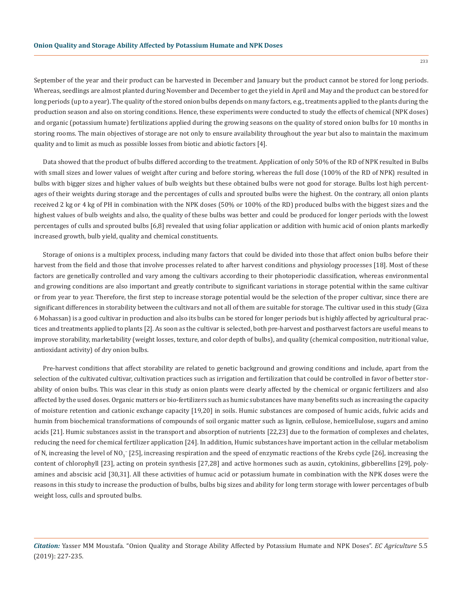September of the year and their product can be harvested in December and January but the product cannot be stored for long periods. Whereas, seedlings are almost planted during November and December to get the yield in April and May and the product can be stored for long periods (up to a year). The quality of the stored onion bulbs depends on many factors, e.g., treatments applied to the plants during the production season and also on storing conditions. Hence, these experiments were conducted to study the effects of chemical (NPK doses) and organic (potassium humate) fertilizations applied during the growing seasons on the quality of stored onion bulbs for 10 months in storing rooms. The main objectives of storage are not only to ensure availability throughout the year but also to maintain the maximum quality and to limit as much as possible losses from biotic and abiotic factors [4].

Data showed that the product of bulbs differed according to the treatment. Application of only 50% of the RD of NPK resulted in Bulbs with small sizes and lower values of weight after curing and before storing, whereas the full dose (100% of the RD of NPK) resulted in bulbs with bigger sizes and higher values of bulb weights but these obtained bulbs were not good for storage. Bulbs lost high percentages of their weights during storage and the percentages of culls and sprouted bulbs were the highest. On the contrary, all onion plants received 2 kg or 4 kg of PH in combination with the NPK doses (50% or 100% of the RD) produced bulbs with the biggest sizes and the highest values of bulb weights and also, the quality of these bulbs was better and could be produced for longer periods with the lowest percentages of culls and sprouted bulbs [6,8] revealed that using foliar application or addition with humic acid of onion plants markedly increased growth, bulb yield, quality and chemical constituents.

Storage of onions is a multiplex process, including many factors that could be divided into those that affect onion bulbs before their harvest from the field and those that involve processes related to after harvest conditions and physiology processes [18]. Most of these factors are genetically controlled and vary among the cultivars according to their photoperiodic classification, whereas environmental and growing conditions are also important and greatly contribute to significant variations in storage potential within the same cultivar or from year to year. Therefore, the first step to increase storage potential would be the selection of the proper cultivar, since there are significant differences in storability between the cultivars and not all of them are suitable for storage. The cultivar used in this study (Giza 6 Mohassan) is a good cultivar in production and also its bulbs can be stored for longer periods but is highly affected by agricultural practices and treatments applied to plants [2]. As soon as the cultivar is selected, both pre-harvest and postharvest factors are useful means to improve storability, marketability (weight losses, texture, and color depth of bulbs), and quality (chemical composition, nutritional value, antioxidant activity) of dry onion bulbs.

Pre-harvest conditions that affect storability are related to genetic background and growing conditions and include, apart from the selection of the cultivated cultivar, cultivation practices such as irrigation and fertilization that could be controlled in favor of better storability of onion bulbs. This was clear in this study as onion plants were clearly affected by the chemical or organic fertilizers and also affected by the used doses. Organic matters or bio-fertilizers such as humic substances have many benefits such as increasing the capacity of moisture retention and cationic exchange capacity [19,20] in soils. Humic substances are composed of humic acids, fulvic acids and humin from biochemical transformations of compounds of soil organic matter such as lignin, cellulose, hemicellulose, sugars and amino acids [21]. Humic substances assist in the transport and absorption of nutrients [22,23] due to the formation of complexes and chelates, reducing the need for chemical fertilizer application [24]. In addition, Humic substances have important action in the cellular metabolism of N, increasing the level of NO $_3^-$  [25], increasing respiration and the speed of enzymatic reactions of the Krebs cycle [26], increasing the content of chlorophyll [23], acting on protein synthesis [27,28] and active hormones such as auxin, cytokinins, gibberellins [29], polyamines and abscisic acid [30,31]. All these activities of humuc acid or potassium humate in combination with the NPK doses were the reasons in this study to increase the production of bulbs, bulbs big sizes and ability for long term storage with lower percentages of bulb weight loss, culls and sprouted bulbs.

*Citation:* Yasser MM Moustafa. "Onion Quality and Storage Ability Affected by Potassium Humate and NPK Doses". *EC Agriculture* 5.5 (2019): 227-235.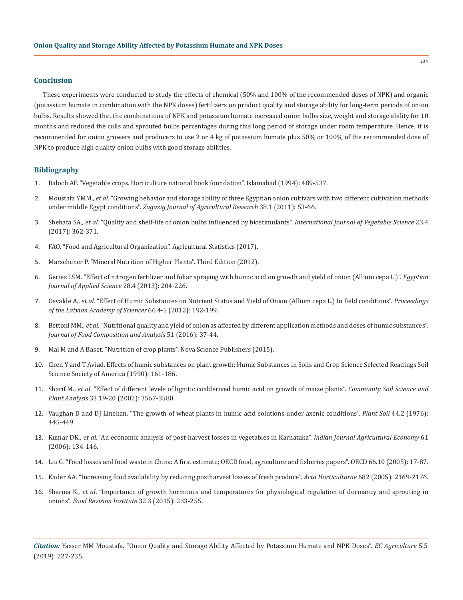#### **Conclusion**

These experiments were conducted to study the effects of chemical (50% and 100% of the recommended doses of NPK) and organic (potassium humate in combination with the NPK doses) fertilizers on product quality and storage ability for long-term periods of onion bulbs. Results showed that the combinations of NPK and potassium humate increased onion bulbs size, weight and storage ability for 10 months and reduced the culls and sprouted bulbs percentages during this long period of storage under room temperature. Hence, it is recommended for onion growers and producers to use 2 or 4 kg of potassium humate plus 50% or 100% of the recommended dose of NPK to produce high quality onion bulbs with good storage abilities.

## **Bibliography**

- 1. Baloch AF. "Vegetable crops. Horticulture national book foundation". Islamabad (1994): 489-537.
- 2. Moustafa YMM., *et al*[. "Growing behavior and storage ability of three Egyptian onion cultivars with two different cultivation methods](http://agris.fao.org/agris-search/search.do?recordID=EG2011000336)  under middle Egypt conditions". *[Zagazig Journal of Agricultural Research](http://agris.fao.org/agris-search/search.do?recordID=EG2011000336)* 38.1 (2011): 53-66.
- 3. Shehata SA., *et al*[. "Quality and shelf-life of onion bulbs influenced by biostimulants".](https://www.tandfonline.com/doi/abs/10.1080/19315260.2017.1298170?journalCode=wijv20) *International Journal of Vegetable Science* 23.4 [\(2017\): 362-371.](https://www.tandfonline.com/doi/abs/10.1080/19315260.2017.1298170?journalCode=wijv20)
- 4. FAO. "Food and Agricultural Organization". Agricultural Statistics (2017).
- 5. Marschener P. "Mineral Nutrition of Higher Plants". Third Edition (2012).
- 6. Geries LSM. "Effect of nitrogen fertilizer and foliar spraying with humic acid on growth and yield of onion (Allium cepa L.)". *Egyptian Journal of Applied Science* 28.4 (2013): 204-226.
- 7. Osvalde A., *et al*[. "Effect of Humic Substances on Nutrient Status and Yield of Onion \(Allium cepa L.\) In field conditions".](https://content.sciendo.com/view/journals/prolas/66/4-5/article-p192.xml) *Proceedings [of the Latvian Academy of Sciences](https://content.sciendo.com/view/journals/prolas/66/4-5/article-p192.xml)* 66.4-5 (2012): 192-199.
- 8. Bettoni MM., *et al*[. "Nutritional quality and yield of onion as affected by different application methods and doses of humic substances".](https://www.sciencedirect.com/science/article/pii/S0889157516300813)  *[Journal of Food Composition and Analysis](https://www.sciencedirect.com/science/article/pii/S0889157516300813)* 51 (2016): 37-44.
- 9. Mai M and A Baset. "Nutrition of crop plants". Nova Science Publishers (2015).
- 10. Chen Y and T Aviad. Effects of humic substances on plant growth; Humic Substances in Soils and Crop Science Selected Readings Soil Science Society of America (1990): 161-186.
- 11. Sharif M., *et al*[. "Effect of different levels of lignitic coalderived humic acid on growth of maize plants".](https://www.tandfonline.com/doi/abs/10.1081/CSS-120015906) *Community Soil Science and Plant Analysis* [33.19-20 \(2002\): 3567-3580.](https://www.tandfonline.com/doi/abs/10.1081/CSS-120015906)
- 12. [Vaughan D and DJ Linehan. "The growth of wheat plants in humic acid solutions under axenic conditions".](https://link.springer.com/article/10.1007/BF00015895) *Plant Soil* 44.2 (1976): [445-449.](https://link.springer.com/article/10.1007/BF00015895)
- 13. Kumar DK., *et al*[. "An economic analysis of post-harvest losses in vegetables in Karnataka".](https://www.researchgate.net/publication/292789600_An_economic_analysis_of_post-harvest_losses_in_vegetables_in_Karnataka) *Indian Journal Agricultural Economy* 61 [\(2006\): 134-146.](https://www.researchgate.net/publication/292789600_An_economic_analysis_of_post-harvest_losses_in_vegetables_in_Karnataka)
- 14. Liu G. "Food losses and food waste in China: A first estimate; OECD food, agriculture and fisheries papers". OECD 66.10 (2005): 17-87.
- 15. [Kader AA. "Increasing food availability by reducing postharvest losses of fresh produce".](http://www.actahort.org/books/682/682_296.htm) *Acta Horticulturae* 682 (2005): 2169-2176.
- 16. Sharma K., *et al*[. "Importance of growth hormones and temperatures for physiological regulation of dormancy and sprouting in](https://www.tandfonline.com/doi/abs/10.1080/87559129.2015.1058820)  onions". *[Food Revision Institute](https://www.tandfonline.com/doi/abs/10.1080/87559129.2015.1058820)* 32.3 (2015): 233-255.

*Citation:* Yasser MM Moustafa. "Onion Quality and Storage Ability Affected by Potassium Humate and NPK Doses". *EC Agriculture* 5.5 (2019): 227-235.